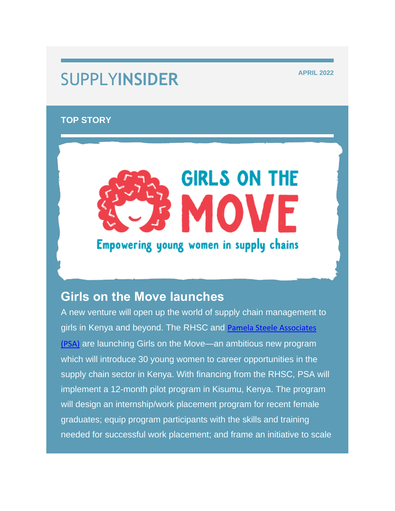## **SUPPLYINSIDER APRIL 2022**

#### **TOP STORY**

# **GIRLS ON THE** Empowering young women in supply chains

### **Girls on the Move launches**

A new venture will open up the world of supply chain management to girls in Kenya and beyond. The RHSC and [Pamela Steele Associates](https://nam12.safelinks.protection.outlook.com/?url=https%3A%2F%2Frhsupplies.us11.list-manage.com%2Ftrack%2Fclick%3Fu%3Dbeb477a8227358641f37db22f%26id%3Dd2d7be9ec7%26e%3D84423332e8&data=05%7C01%7Clalexe%40rhsupplies.org%7C7f8deba8f30846bb62d608da373dbb5e%7C29ca3f4f6d6749a5a001e1db48252717%7C0%7C0%7C637883036573273010%7CUnknown%7CTWFpbGZsb3d8eyJWIjoiMC4wLjAwMDAiLCJQIjoiV2luMzIiLCJBTiI6Ik1haWwiLCJXVCI6Mn0%3D%7C3000%7C%7C%7C&sdata=cRvTIsHFVrQivVmMqCSZdJr9egkpTbG8QvT%2F0HGTd%2Fg%3D&reserved=0)  [\(PSA\)](https://nam12.safelinks.protection.outlook.com/?url=https%3A%2F%2Frhsupplies.us11.list-manage.com%2Ftrack%2Fclick%3Fu%3Dbeb477a8227358641f37db22f%26id%3Dd2d7be9ec7%26e%3D84423332e8&data=05%7C01%7Clalexe%40rhsupplies.org%7C7f8deba8f30846bb62d608da373dbb5e%7C29ca3f4f6d6749a5a001e1db48252717%7C0%7C0%7C637883036573273010%7CUnknown%7CTWFpbGZsb3d8eyJWIjoiMC4wLjAwMDAiLCJQIjoiV2luMzIiLCJBTiI6Ik1haWwiLCJXVCI6Mn0%3D%7C3000%7C%7C%7C&sdata=cRvTIsHFVrQivVmMqCSZdJr9egkpTbG8QvT%2F0HGTd%2Fg%3D&reserved=0) are launching Girls on the Move—an ambitious new program which will introduce 30 young women to career opportunities in the supply chain sector in Kenya. With financing from the RHSC, PSA will implement a 12-month pilot program in Kisumu, Kenya. The program will design an internship/work placement program for recent female graduates; equip program participants with the skills and training needed for successful work placement; and frame an initiative to scale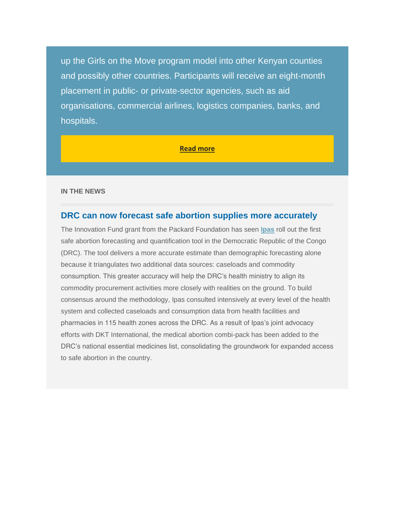up the Girls on the Move program model into other Kenyan counties and possibly other countries. Participants will receive an eight-month placement in public- or private-sector agencies, such as aid organisations, commercial airlines, logistics companies, banks, and hospitals.

#### **[Read more](https://nam12.safelinks.protection.outlook.com/?url=https%3A%2F%2Frhsupplies.us11.list-manage.com%2Ftrack%2Fclick%3Fu%3Dbeb477a8227358641f37db22f%26id%3D691faeab32%26e%3D84423332e8&data=05%7C01%7Clalexe%40rhsupplies.org%7C7f8deba8f30846bb62d608da373dbb5e%7C29ca3f4f6d6749a5a001e1db48252717%7C0%7C0%7C637883036573273010%7CUnknown%7CTWFpbGZsb3d8eyJWIjoiMC4wLjAwMDAiLCJQIjoiV2luMzIiLCJBTiI6Ik1haWwiLCJXVCI6Mn0%3D%7C3000%7C%7C%7C&sdata=SNLL80IRJvOsf2tyUJp9vUnAhMJr27s532vAMjYsRGo%3D&reserved=0)**

#### **IN THE NEWS**

#### **DRC can now forecast safe abortion supplies more accurately**

The Innovation Fund grant from the Packard Foundation has seen **[Ipas](https://nam12.safelinks.protection.outlook.com/?url=https%3A%2F%2Frhsupplies.us11.list-manage.com%2Ftrack%2Fclick%3Fu%3Dbeb477a8227358641f37db22f%26id%3D465c5eaa78%26e%3D84423332e8&data=05%7C01%7Clalexe%40rhsupplies.org%7C7f8deba8f30846bb62d608da373dbb5e%7C29ca3f4f6d6749a5a001e1db48252717%7C0%7C0%7C637883036573273010%7CUnknown%7CTWFpbGZsb3d8eyJWIjoiMC4wLjAwMDAiLCJQIjoiV2luMzIiLCJBTiI6Ik1haWwiLCJXVCI6Mn0%3D%7C3000%7C%7C%7C&sdata=yoC%2BwVw6jPoRu%2BmLt1a0YrBtUiwFWwGCQCLAo5kaszM%3D&reserved=0)** roll out the first safe abortion forecasting and quantification tool in the Democratic Republic of the Congo (DRC). The tool delivers a more accurate estimate than demographic forecasting alone because it triangulates two additional data sources: caseloads and commodity consumption. This greater accuracy will help the DRC's health ministry to align its commodity procurement activities more closely with realities on the ground. To build consensus around the methodology, Ipas consulted intensively at every level of the health system and collected caseloads and consumption data from health facilities and pharmacies in 115 health zones across the DRC. As a result of Ipas's joint advocacy efforts with DKT International, the medical abortion combi-pack has been added to the DRC's national essential medicines list, consolidating the groundwork for expanded access to safe abortion in the country.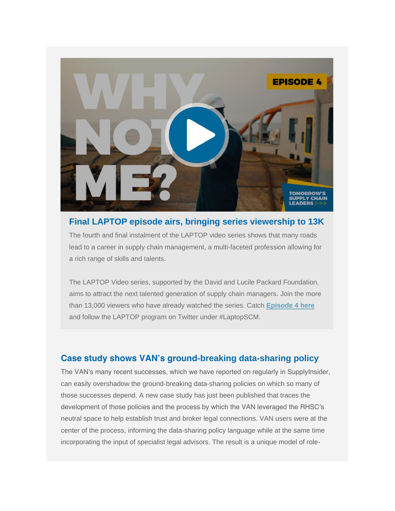

#### **Final LAPTOP episode airs, bringing series viewership to 13K**

The fourth and final instalment of the LAPTOP video series shows that many roads lead to a career in supply chain management, a multi-faceted profession allowing for a rich range of skills and talents.

The LAPTOP Video series, supported by the David and Lucile Packard Foundation, aims to attract the next talented generation of supply chain managers. Join the more than 13,000 viewers who have already watched the series. Catch **[Episode 4 here](https://nam12.safelinks.protection.outlook.com/?url=https%3A%2F%2Frhsupplies.us11.list-manage.com%2Ftrack%2Fclick%3Fu%3Dbeb477a8227358641f37db22f%26id%3Df442a5adc5%26e%3D84423332e8&data=05%7C01%7Clalexe%40rhsupplies.org%7C7f8deba8f30846bb62d608da373dbb5e%7C29ca3f4f6d6749a5a001e1db48252717%7C0%7C0%7C637883036573273010%7CUnknown%7CTWFpbGZsb3d8eyJWIjoiMC4wLjAwMDAiLCJQIjoiV2luMzIiLCJBTiI6Ik1haWwiLCJXVCI6Mn0%3D%7C3000%7C%7C%7C&sdata=Stl9irHfyjeoORMsC1eDn0lBu%2FgIYdN48RCVGF%2F5VhI%3D&reserved=0)** and follow the LAPTOP program on Twitter under #LaptopSCM.

#### **Case study shows VAN's ground-breaking data-sharing policy**

The VAN's many recent successes, which we have reported on regularly in SupplyInsider, can easily overshadow the ground-breaking data-sharing policies on which so many of those successes depend. A new case study has just been published that traces the development of those policies and the process by which the VAN leveraged the RHSC's neutral space to help establish trust and broker legal connections. VAN users were at the center of the process, informing the data-sharing policy language while at the same time incorporating the input of specialist legal advisors. The result is a unique model of role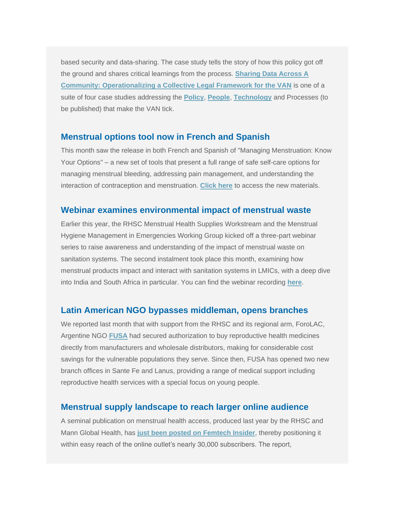based security and data-sharing. The case study tells the story of how this policy got off the ground and shares critical learnings from the process. **[Sharing Data Across A](https://nam12.safelinks.protection.outlook.com/?url=https%3A%2F%2Frhsupplies.us11.list-manage.com%2Ftrack%2Fclick%3Fu%3Dbeb477a8227358641f37db22f%26id%3Db75d1a5720%26e%3D84423332e8&data=05%7C01%7Clalexe%40rhsupplies.org%7C7f8deba8f30846bb62d608da373dbb5e%7C29ca3f4f6d6749a5a001e1db48252717%7C0%7C0%7C637883036573273010%7CUnknown%7CTWFpbGZsb3d8eyJWIjoiMC4wLjAwMDAiLCJQIjoiV2luMzIiLCJBTiI6Ik1haWwiLCJXVCI6Mn0%3D%7C3000%7C%7C%7C&sdata=q2EZeoxsYovkHlBtx8wE%2FL4I2PoYJEylWYIZN9sx1bU%3D&reserved=0)  [Community:](https://nam12.safelinks.protection.outlook.com/?url=https%3A%2F%2Frhsupplies.us11.list-manage.com%2Ftrack%2Fclick%3Fu%3Dbeb477a8227358641f37db22f%26id%3Db75d1a5720%26e%3D84423332e8&data=05%7C01%7Clalexe%40rhsupplies.org%7C7f8deba8f30846bb62d608da373dbb5e%7C29ca3f4f6d6749a5a001e1db48252717%7C0%7C0%7C637883036573273010%7CUnknown%7CTWFpbGZsb3d8eyJWIjoiMC4wLjAwMDAiLCJQIjoiV2luMzIiLCJBTiI6Ik1haWwiLCJXVCI6Mn0%3D%7C3000%7C%7C%7C&sdata=q2EZeoxsYovkHlBtx8wE%2FL4I2PoYJEylWYIZN9sx1bU%3D&reserved=0) [Operationalizing a Collective Legal Framework for the VAN](https://nam12.safelinks.protection.outlook.com/?url=https%3A%2F%2Frhsupplies.us11.list-manage.com%2Ftrack%2Fclick%3Fu%3Dbeb477a8227358641f37db22f%26id%3Da6e400bfc3%26e%3D84423332e8&data=05%7C01%7Clalexe%40rhsupplies.org%7C7f8deba8f30846bb62d608da373dbb5e%7C29ca3f4f6d6749a5a001e1db48252717%7C0%7C0%7C637883036573273010%7CUnknown%7CTWFpbGZsb3d8eyJWIjoiMC4wLjAwMDAiLCJQIjoiV2luMzIiLCJBTiI6Ik1haWwiLCJXVCI6Mn0%3D%7C3000%7C%7C%7C&sdata=dA8M9pkFAYvgwcXI5OlgR5XQVXHKAgHBl17cN9BqQUA%3D&reserved=0)** is one of a suite of four case studies addressing the **[Policy](https://nam12.safelinks.protection.outlook.com/?url=https%3A%2F%2Frhsupplies.us11.list-manage.com%2Ftrack%2Fclick%3Fu%3Dbeb477a8227358641f37db22f%26id%3D53d5de7155%26e%3D84423332e8&data=05%7C01%7Clalexe%40rhsupplies.org%7C7f8deba8f30846bb62d608da373dbb5e%7C29ca3f4f6d6749a5a001e1db48252717%7C0%7C0%7C637883036573273010%7CUnknown%7CTWFpbGZsb3d8eyJWIjoiMC4wLjAwMDAiLCJQIjoiV2luMzIiLCJBTiI6Ik1haWwiLCJXVCI6Mn0%3D%7C3000%7C%7C%7C&sdata=molQ84QQcU7pWSNznmXiBL7tfaCOCSuAX8iABWKVy1Y%3D&reserved=0)**, **[People](https://nam12.safelinks.protection.outlook.com/?url=https%3A%2F%2Frhsupplies.us11.list-manage.com%2Ftrack%2Fclick%3Fu%3Dbeb477a8227358641f37db22f%26id%3D3310a8443b%26e%3D84423332e8&data=05%7C01%7Clalexe%40rhsupplies.org%7C7f8deba8f30846bb62d608da373dbb5e%7C29ca3f4f6d6749a5a001e1db48252717%7C0%7C0%7C637883036573273010%7CUnknown%7CTWFpbGZsb3d8eyJWIjoiMC4wLjAwMDAiLCJQIjoiV2luMzIiLCJBTiI6Ik1haWwiLCJXVCI6Mn0%3D%7C3000%7C%7C%7C&sdata=rM8qASXJxPpsgDjEAdlCkypqtHddRWdJ8LHKqPFvD4k%3D&reserved=0)**, **[Technology](https://nam12.safelinks.protection.outlook.com/?url=https%3A%2F%2Frhsupplies.us11.list-manage.com%2Ftrack%2Fclick%3Fu%3Dbeb477a8227358641f37db22f%26id%3Dfa8b2df631%26e%3D84423332e8&data=05%7C01%7Clalexe%40rhsupplies.org%7C7f8deba8f30846bb62d608da373dbb5e%7C29ca3f4f6d6749a5a001e1db48252717%7C0%7C0%7C637883036573273010%7CUnknown%7CTWFpbGZsb3d8eyJWIjoiMC4wLjAwMDAiLCJQIjoiV2luMzIiLCJBTiI6Ik1haWwiLCJXVCI6Mn0%3D%7C3000%7C%7C%7C&sdata=U60xzWiCO36HK3D3021kBb5HqKbYb6GFGASyrebaj6s%3D&reserved=0)** and Processes (to be published) that make the VAN tick.

#### **Menstrual options tool now in French and Spanish**

This month saw the release in both French and Spanish of "Managing Menstruation: Know Your Options" – a new set of tools that present a full range of safe self-care options for managing menstrual bleeding, addressing pain management, and understanding the interaction of contraception and menstruation. **[Click here](https://nam12.safelinks.protection.outlook.com/?url=https%3A%2F%2Frhsupplies.us11.list-manage.com%2Ftrack%2Fclick%3Fu%3Dbeb477a8227358641f37db22f%26id%3D69713c4d5d%26e%3D84423332e8&data=05%7C01%7Clalexe%40rhsupplies.org%7C7f8deba8f30846bb62d608da373dbb5e%7C29ca3f4f6d6749a5a001e1db48252717%7C0%7C0%7C637883036573273010%7CUnknown%7CTWFpbGZsb3d8eyJWIjoiMC4wLjAwMDAiLCJQIjoiV2luMzIiLCJBTiI6Ik1haWwiLCJXVCI6Mn0%3D%7C3000%7C%7C%7C&sdata=73BgT4W0Ky5sfl3vimZshJCp4wmoZQQYdx4SbIB2450%3D&reserved=0)** to access the new materials.

#### **Webinar examines environmental impact of menstrual waste**

Earlier this year, the RHSC Menstrual Health Supplies Workstream and the Menstrual Hygiene Management in Emergencies Working Group kicked off a three-part webinar series to raise awareness and understanding of the impact of menstrual waste on sanitation systems. The second instalment took place this month, examining how menstrual products impact and interact with sanitation systems in LMICs, with a deep dive into India and South Africa in particular. You can find the webinar recording **[here](https://nam12.safelinks.protection.outlook.com/?url=https%3A%2F%2Frhsupplies.us11.list-manage.com%2Ftrack%2Fclick%3Fu%3Dbeb477a8227358641f37db22f%26id%3D598e89b1ce%26e%3D84423332e8&data=05%7C01%7Clalexe%40rhsupplies.org%7C7f8deba8f30846bb62d608da373dbb5e%7C29ca3f4f6d6749a5a001e1db48252717%7C0%7C0%7C637883036573273010%7CUnknown%7CTWFpbGZsb3d8eyJWIjoiMC4wLjAwMDAiLCJQIjoiV2luMzIiLCJBTiI6Ik1haWwiLCJXVCI6Mn0%3D%7C3000%7C%7C%7C&sdata=W5eIOqgWSf7qp9aiE6%2BImUEO34enDbNskq%2B93au7Yl0%3D&reserved=0)**.

#### **Latin American NGO bypasses middleman, opens branches**

We reported last month that with support from the RHSC and its regional arm, ForoLAC, Argentine NGO **[FUSA](https://nam12.safelinks.protection.outlook.com/?url=https%3A%2F%2Frhsupplies.us11.list-manage.com%2Ftrack%2Fclick%3Fu%3Dbeb477a8227358641f37db22f%26id%3Dbcb9c56b7c%26e%3D84423332e8&data=05%7C01%7Clalexe%40rhsupplies.org%7C7f8deba8f30846bb62d608da373dbb5e%7C29ca3f4f6d6749a5a001e1db48252717%7C0%7C0%7C637883036573273010%7CUnknown%7CTWFpbGZsb3d8eyJWIjoiMC4wLjAwMDAiLCJQIjoiV2luMzIiLCJBTiI6Ik1haWwiLCJXVCI6Mn0%3D%7C3000%7C%7C%7C&sdata=ZE8HDfM9%2BnHXUy9XNMT%2FnQNlmMM%2BakNYblL2tVvQ%2Bk8%3D&reserved=0)** had secured authorization to buy reproductive health medicines directly from manufacturers and wholesale distributors, making for considerable cost savings for the vulnerable populations they serve. Since then, FUSA has opened two new branch offices in Sante Fe and Lanus, providing a range of medical support including reproductive health services with a special focus on young people.

#### **Menstrual supply landscape to reach larger online audience**

A seminal publication on menstrual health access, produced last year by the RHSC and Mann Global Health, has **[just been posted on Femtech Insider](https://nam12.safelinks.protection.outlook.com/?url=https%3A%2F%2Frhsupplies.us11.list-manage.com%2Ftrack%2Fclick%3Fu%3Dbeb477a8227358641f37db22f%26id%3D1bee9e488e%26e%3D84423332e8&data=05%7C01%7Clalexe%40rhsupplies.org%7C7f8deba8f30846bb62d608da373dbb5e%7C29ca3f4f6d6749a5a001e1db48252717%7C0%7C0%7C637883036573273010%7CUnknown%7CTWFpbGZsb3d8eyJWIjoiMC4wLjAwMDAiLCJQIjoiV2luMzIiLCJBTiI6Ik1haWwiLCJXVCI6Mn0%3D%7C3000%7C%7C%7C&sdata=bbf10LuPqS4Di2XhTM%2Bk238k12nTfXhnaR11R1ICjnU%3D&reserved=0)**, thereby positioning it within easy reach of the online outlet's nearly 30,000 subscribers. The report,